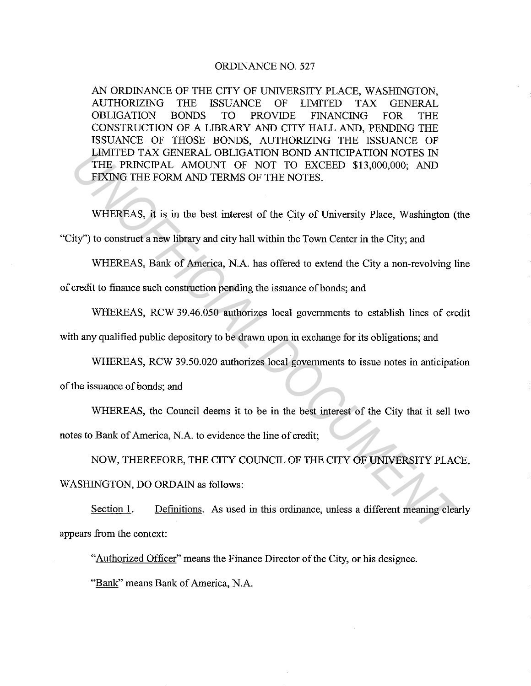#### ORDINANCE NO. 527

AN ORDINANCE OF THE CITY OF UNNERSITY PLACE, WASHINGTON, AUTHORIZING THE ISSUANCE OF LIMITED TAX GENERAL OBLIGATION BONDS TO PROVIDE FINANCING FOR THE CONSTRUCTION OF A LIBRARY AND CITY HALL AND, PENDING THE ISSUANCE OF THOSE BONDS, AUTHORIZING THE ISSUANCE OF LIMITED TAX GENERAL OBLIGATION BOND ANTICIPATION NOTES IN THE PRINCIPAL AMOUNT OF NOT TO EXCEED \$13,000,000; AND FIXING THE FORM AND TERMS OF THE NOTES. **LIMITED TAX GENERAL OBLIGATION NOND ANTICIPATION NOTES IN THE PRINCIPAL AMOUNT OF NOT TO EXCEED \$13,000,000; AND FIXING THE FORM AND TERMS OF THE NOTES.**<br> **WHEREAS, it is in the best interest of the City of University Pla** 

WHEREAS, it is in the best interest of the City of University Place, Washington (the "City") to construct a new library and city hall within the Town Center in the City; and

WHEREAS, Bank of America, N.A. has offered to extend the City a non-revolving line

of credit to finance such construction pending the issuance of bonds; and

WHEREAS, RCW 39.46.050 authorizes local governments to establish lines of credit

with any qualified public depository to be drawn upon in exchange for its obligations; and

WHEREAS, RCW 39.50.020 authorizes local governments to issue notes in anticipation

of the issuance of bonds; and

WHEREAS, the Council deems it to be in the best interest of the City that it sell two

notes to Bank of America, N.A. to evidence the line of credit;

NOW, THEREFORE, THE CITY COUNCIL OF THE CITY OF UNNERSITY PLACE,

WASHINGTON, DO ORDAIN as follows:

Section 1. Definitions. As used in this ordinance, unless a different meaning clearly appears from the context:

"Authorized Officer" means the Finance Director of the City, or his designee.

"Bank" means Bank of America, N.A.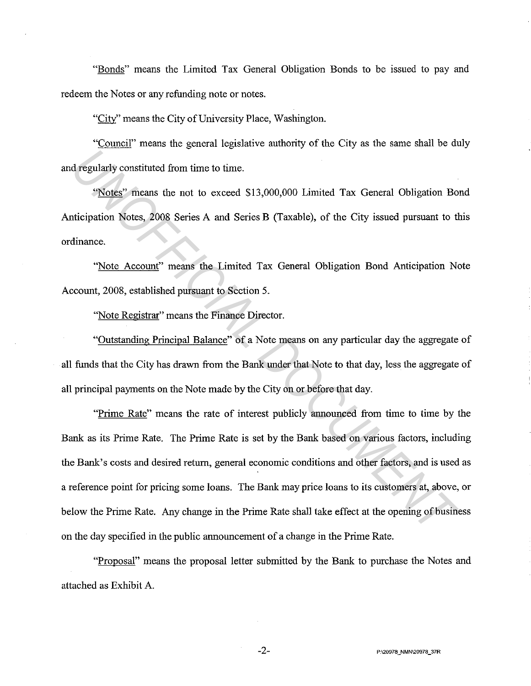"Bonds" means the Limited Tax General Obligation Bonds to be issued to pay and redeem the Notes or any refunding note or notes.

"City'' means the City of University Place, Washington.

"Council" means the general legislative authority of the City as the same shall be duly and regularly constituted from time to time.

"Notes" means the not to exceed \$13,000,000 Limited Tax General Obligation Bond Anticipation Notes, 2008 Series A and Series B (Taxable), of the City issued pursuant to this ordinance.

"Note Account" means the Limited Tax General Obligation Bond Anticipation Note Account, 2008, established pursuant to Section 5.

"Note Registrar" means the Finance Director.

"Outstanding Principal Balance" of a Note means on any particular day the aggregate of all funds that the City has drawn from the Bank under that Note to that day, less the aggregate of all principal payments on the Note made by the City on or before that day.

"Prime Rate" means the rate of interest publicly announced from time to time by the Bank as its Prime Rate. The Prime Rate is set by the Bank based on various factors, including the Bank's costs and desired return, general economic conditions and other factors, and is used as a reference point for pricing some loans. The Bank may price loans to its customers at, above, or below the Prime Rate. Any change in the Prime Rate shall take effect at the opening of business on the day specified in the public announcement of a change in the Prime Rate. *UNOFFICIAL DOCUMENT*

"Proposal" means the proposal letter submitted by the Bank to purchase the Notes and attached as Exhibit A.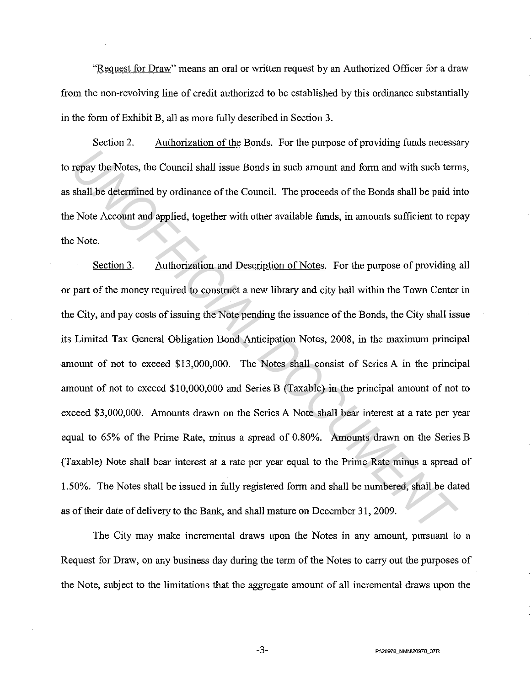"Request for Draw" means an oral or written request by an Authorized Officer for a draw from the non-revolving line of credit authorized to be established by this ordinance substantially in the form of Exhibit B, all as more fully described in Section 3.

Section 2. Authorization of the Bonds. For the purpose of providing funds necessary to repay the Notes, the Council shall issue Bonds in such amount and form and with such terms, as shall be determined by ordinance of the Council. The proceeds of the Bonds shall be paid into the Note Account and applied, together with other available funds, in amounts sufficient to repay the Note.

Section 3. Authorization and Description of Notes. For the purpose of providing all or part of the money required to construct a new library and city hall within the Town Center in the City, and pay costs of issuing the Note pending the issuance of the Bonds, the City shall issue its Limited Tax General Obligation Bond Anticipation Notes, 2008, in the maximum principal amount of not to exceed \$13,000,000. The Notes shall consist of Series A in the principal amount of not to exceed \$10,000,000 and Series B (Taxable) in the principal amount of not to exceed \$3,000,000. Amounts drawn on the Series A Note shall bear interest at a rate per year equal to 65% of the Prime Rate, minus a spread of 0.80%. Amounts drawn on the Series B (Taxable) Note shall bear interest at a rate per year equal to the Prime Rate minus a spread of 1.50%. The Notes shall be issued in fully registered form and shall be numbered, shall be dated as of their date of delivery to the Bank, and shall mature on December 31, 2009. **Example 10** Notes, the Council shall issue Bonds in such amount and form and with such term<br>shall be determined by ordinance of the Council. The proceeds of the Bonds shall be paid in<br>Note Account and applied, together wi

The City may make incremental draws upon the Notes in any amount, pursuant to a Request for Draw, on any business day during the term of the Notes to carry out the purposes of the Note, subject to the limitations that the aggregate amount of all incremental draws upon the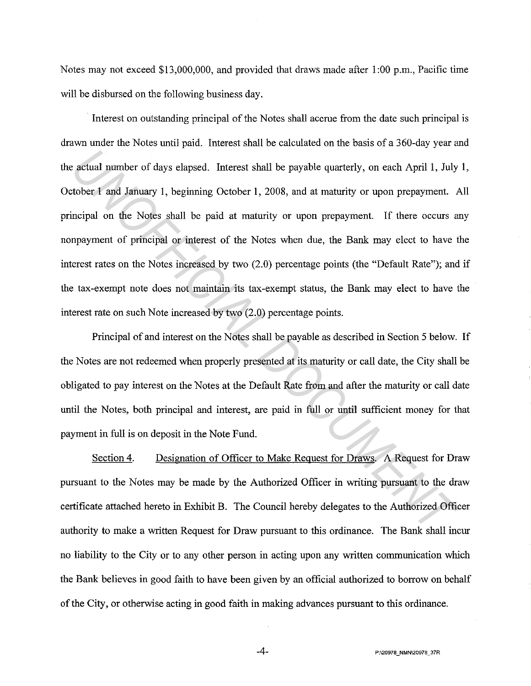Notes may not exceed \$13,000,000, and provided that draws made after 1:00 p.m., Pacific time will be disbursed on the following business day.

Interest on outstanding principal of the Notes shall accrue from the date such principal is drawn under the Notes until paid. Interest shall be calculated on the basis of a 360-day year and the actual number of days elapsed. Interest shall be payable quarterly, on each April 1, July 1, October 1 and January 1, beginning October 1, 2008, and at maturity or upon prepayment. All principal on the Notes shall be paid at maturity or upon prepayment. If there occurs any nonpayment of principal or interest of the Notes when due, the Bank may elect to have the interest rates on the Notes increased by two (2.0) percentage points (the "Default Rate"); and if the tax-exempt note does not maintain its tax-exempt status, the Bank may elect to have the interest rate on such Note increased by two (2.0) percentage points. *UNOFFICIAL DOCUMENT*

Principal of and interest on the Notes shall be payable as described in Section 5 below. If the Notes are not redeemed when properly presented at its maturity or call date, the City shall be obligated to pay interest on the Notes at the Default Rate from and after the maturity or call date until the Notes, both principal and interest, are paid in full or until sufficient money for that payment in full is on deposit in the Note Fund.

Section 4. Designation of Officer to Make Request for Draws. A Request for Draw pursuant to the Notes may be made by the Authorized Officer in writing pursuant to the draw certificate attached hereto in Exhibit B. The Council hereby delegates to the Authorized Officer authority to make a written Request for Draw pursuant to this ordinance. The Bank shall incur no liability to the City or to any other person in acting upon any written communication which the Bank believes in good faith to have been given by an official authorized to borrow on behalf of the City, or otherwise acting in good faith in making advances pursuant to this ordinance.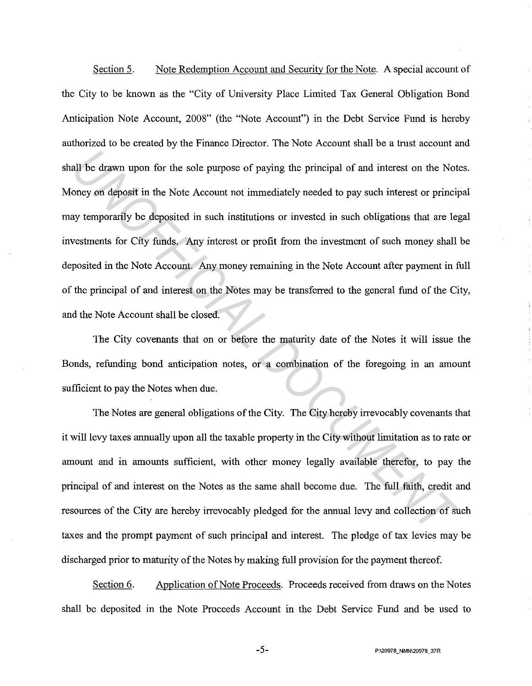Section 5. Note Redemption Account and Security for the Note. A special account of the City to be known as the "City of University Place Limited Tax General Obligation Bond Anticipation Note Account, 2008" (the "Note Account") in the Debt Service Fund is hereby authorized to be created by the Finance Director. The Note Account shall be a trust account and shall be drawn upon for the sole purpose of paying the principal of and interest on the Notes. Money on deposit in the Note Account not immediately needed to pay such interest or principal may temporarily be deposited in such institutions or invested in such obligations that are legal investments for City funds. Any interest or profit from the investment of such money shall be deposited in the Note Account. Any money remaining in the Note Account after payment in full of the principal of and interest on the Notes may be transferred to the general fund of the City, and the Note Account shall be closed. all be drawn upon for the sole purpose of paying the principal of and interest on the Notoney on deposit in the Note Account not immediately needed to pay such interest or principal yero properarily be deposited in such in

The City covenants that on or before the maturity date of the Notes it will issue the Bonds, refunding bond anticipation notes, or a combination of the foregoing in an amount sufficient to pay the Notes when due.

The Notes are general obligations of the City. The City hereby irrevocably covenants that it will levy taxes annually upon all the taxable property in the City without limitation as to rate or amount and in amounts sufficient, with other money legally available therefor, to pay the principal of and interest on the Notes as the same shall become due. The full faith, credit and resources of the City are hereby irrevocably pledged for the annual levy and collection of such taxes and the prompt payment of such principal and interest. The pledge of tax levies may be discharged prior to maturity of the Notes by making full provision for the payment thereof.

Section 6. Application of Note Proceeds. Proceeds received from draws on the Notes shall be deposited in the Note Proceeds Account in the Debt Service Fund and be used to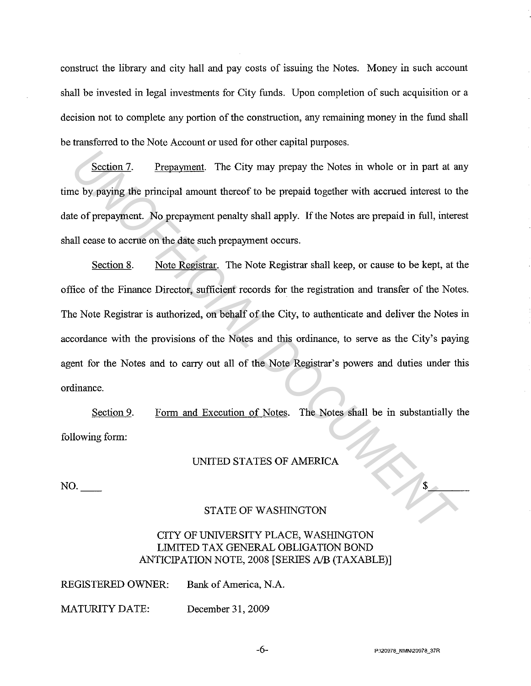construct the library and city hall and pay costs of issuing the Notes. Money in such account shall be invested in legal investments for City funds. Upon completion of such acquisition or a decision not to complete any portion of the construction, any remaining money in the fund shall be transferred to the Note Account or used for other capital purposes.

Section 7. Prepayment. The City may prepay the Notes in whole or in part at any time by paying the principal amount thereof to be prepaid together with accrued interest to the date of prepayment. No prepayment penalty shall apply. If the Notes are prepaid in full, interest shall cease to accrue on the date such prepayment occurs.

Section 8. Note Registrar. The Note Registrar shall keep, or cause to be kept, at the office of the Finance Director, sufficient records for the registration and transfer of the Notes. The Note Registrar is authorized, on behalf of the City, to authenticate and deliver the Notes in accordance with the provisions of the Notes and this ordinance, to serve as the City's paying agent for the Notes and to carry out all of the Note Registrar's powers and duties under this ordinance. **Example 17.** Prepayment. The City may prepay the Notes in whole or in part at a<br>
be by paying the principal amount thereof to be prepaid together with accrued interest to te<br>
te of prepayment. No propayment penalty shall

Section 9. following form: Form and Execution of Notes. The Notes shall be in substantially the

# UNITED STATES OF AMERICA

NO.

#### STATE OF WASHINGTON

# CITY OF UNNERSITY PLACE, WASHINGTON LIMITED TAX GENERAL OBLIGATION BOND ANTICIPATION NOTE, 2008 [SERIES *AIB* (TAXABLE)]

| <b>REGISTERED OWNER:</b> | Bank of America, N.A. |
|--------------------------|-----------------------|
|                          |                       |

MATURITY DATE: December 31, 2009

 $\frac{1}{2}$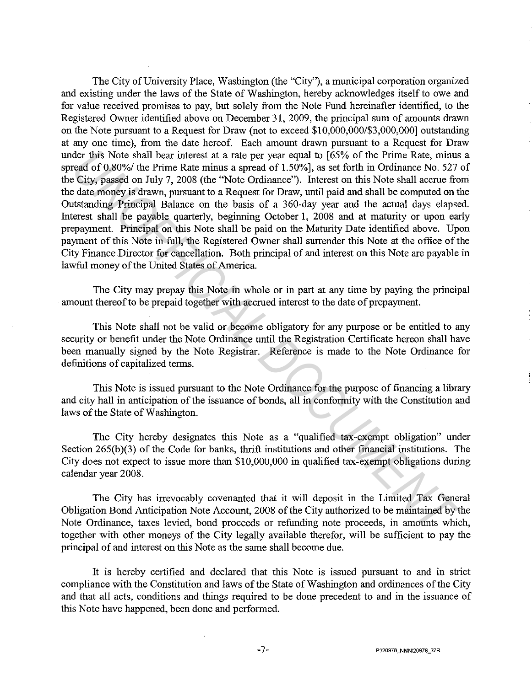The City of University Place, Washington (the "City"), a municipal corporation organized and existing under the laws of the State of Washington, hereby acknowledges itself to owe and for value received promises to pay, but solely from the Note Fund hereinafter identified, to the Registered Owner identified above on December 31, 2009, the principal sum of amounts drawn on the Note pursuant to a Request for Draw (not to exceed \$10,000,000/\$3,000,000] outstanding at any one time), from the date hereof. Each amount drawn pursuant to a Request for Draw under this Note shall bear interest at a rate per year equal to [65% of the Prime Rate, minus a spread of 0.80%/ the Prime Rate minus a spread of 1.50%], as set forth in Ordinance No. 527 of the City, passed on July 7, 2008 (the "Note Ordinance"). Interest on this Note shall accrue from the date money is drawn, pursuant to a Request for Draw, until paid and shall be computed on the Outstanding Principal Balance on the basis of a 360-day year and the actual days elapsed. Interest shall be payable quarterly, beginning October 1, 2008 and at maturity or upon early prepayment. Principal on this Note shall be paid on the Maturity Date identified above. Upon payment of this Note in full, the Registered Owner shall surrender this Note at the office of the City Finance Director for cancellation. Both principal of and interest on this Note are payable in lawful money of the United States of America. der this Note shall bear interest at a rate per year equal to [65% of the Prime Rate, minus<br>
read of 0.80% the Prime Rate minus a spread of 1.50%], as set forth in Ordinance No. 527<br>
Using City, passed on July 7, 2008 (the

The City may prepay this Note in whole or in part at any time by paying the principal amount thereof to be prepaid together with accrued interest to the date of prepayment.

This Note shall not be valid or become obligatory for any purpose or be entitled to any security or benefit under the Note Ordinance until the Registration Certificate hereon shall have been manually signed by the Note Registrar. Reference is made to the Note Ordinance for definitions of capitalized terms.

This Note is issued pursuant to the Note Ordinance for the purpose of financing a library and city hall in anticipation of the issuance of bonds, all in conformity with the Constitution and laws of the State of Washington.

The City hereby designates this Note as a "qualified tax-exempt obligation" under Section  $265(b)(3)$  of the Code for banks, thrift institutions and other financial institutions. The City does not expect to issue more than \$10,000,000 in qualified tax-exempt obligations during calendar year 2008.

The City has irrevocably covenanted that it will deposit in the Limited Tax General Obligation Bond Anticipation Note Account, 2008 of the City authorized to be maintained by the Note Ordinance, taxes levied, bond proceeds or refunding note proceeds, in amounts which, together with other moneys of the City legally available therefor, will be sufficient to pay the principal of and interest on this Note as the same shall become due.

It is hereby certified and declared that this Note is issued pursuant to and in strict compliance with the Constitution and laws of the State of Washington and ordinances of the City and that all acts, conditions and things required to be done precedent to and in the issuance of this Note have happened, been done and performed.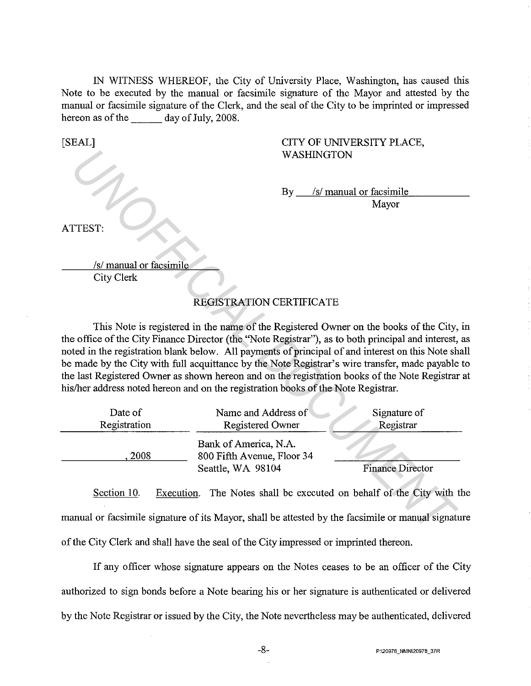IN WITNESS WHEREOF, the City of University Place, Washington, has caused this Note to be executed by the manual or facsimile signature of the Mayor and attested by the manual or facsimile signature of the Clerk, and the seal of the City to be imprinted or impressed hereon as of the day of July, 2008.

[SEAL]

### CITY OF UNIVERSITY PLACE, WASHINGTON

By *Isl* manual or facsimile

Mayor

ATTEST:

*Isl* manual or facsimile City Clerk

# REGISTRATION CERTIFICATE

This Note is registered in the name of the Registered Owner on the books of the City, in the office of the City Finance Director (the ''Note Registrar"), as to both principal and interest, as noted in the registration blank below. All payments of principal of and interest on this Note shall be made by the City with full acquittance by the Note Registrar's wire transfer, made payable to the last Registered Owner as shown hereon and on the registration books of the Note Registrar at his/her address noted hereon and on the registration books of the Note Registrar. WASHINGTON<br> *By* <u>*Isl* manual or facsimile</u><br> *Mayor*<br> *USI*<br> *USI*<br> *USI*<br> *USI*<br> *USI*<br> *USI*<br> *USI*<br> *USI*<br>
City Clerk<br> **EXELSTRATION CERTIFICATE**<br> **This Note is registered in the name of the Registered Owner on the boo** 

| Date of      | Name and Address of                                                      | Signature of            |
|--------------|--------------------------------------------------------------------------|-------------------------|
| Registration | <b>Registered Owner</b>                                                  | Registrar               |
| 2008         | Bank of America, N.A.<br>800 Fifth Avenue, Floor 34<br>Seattle, WA 98104 | <b>Finance Director</b> |

Section 10. Execution. The Notes shall be executed on behalf of the City with the manual or facsimile signature of its Mayor, shall be attested by the facsimile or manual signature of the City Clerk and shall have the seal of the City impressed or imprinted thereon.

If any officer whose signature appears on the Notes ceases to be an officer of the City authorized to sign bonds before a Note bearing his or her signature is authenticated or delivered by the Note Registrar or issued by the City, the Note nevertheless may be authenticated, delivered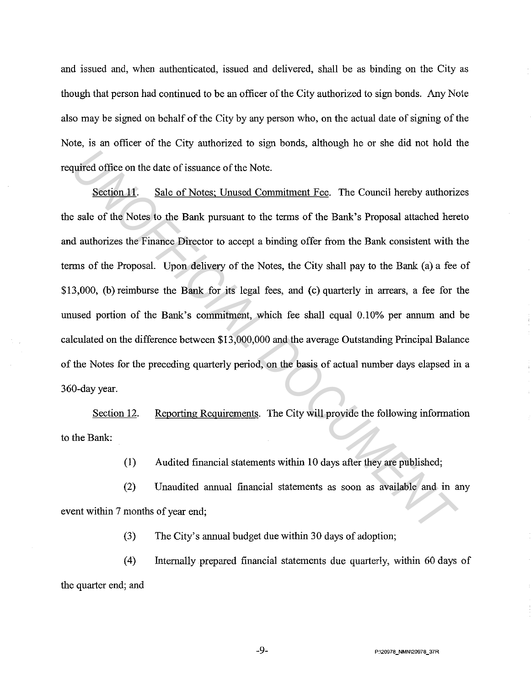and issued and, when authenticated, issued and delivered, shall be as binding on the City as though that person had continued to be an officer of the City authorized to sign bonds. Any Note also may be signed on behalf of the City by any person who, on the actual date of signing of the Note, is an officer of the City authorized to sign bonds, although he or she did not hold the required office on the date of issuance of the Note.

Section 11. Sale of Notes; Unused Commitment Fee. The Council hereby authorizes the sale of the Notes to the Bank pursuant to the terms of the Bank's Proposal attached hereto and authorizes the Finance Director to accept a binding offer from the Bank consistent with the terms of the Proposal. Upon delivery of the Notes, the City shall pay to the Bank (a) a fee of \$13,000, (b) reimburse the Bank for its legal fees, and (c) quarterly in arrears, a fee for the unused portion of the Bank's commitment, which fee shall equal 0.10% per annum and be calculated on the difference between \$13,000,000 and the average Outstanding Principal Balance of the Notes for the preceding quarterly period, on the basis of actual number days elapsed in a 360-day year. quired office on the date of issuance of the Note.<br> **Section 11.** Sale of Notes: Unused Commitment Fee. The Council hereby authorize sale of the Notes to the Bank pursuant to the terms of the Bank's Proposal attached here

Section 12. Reporting Requirements. The City will provide the following information to the Bank:

(I) Audited financial statements within 10 days after they are published;

(2) Unaudited annual financial statements as soon as available and in any event within 7 months of year end;

(3) The City's annual budget due within 30 days of adoption;

( 4) Internally prepared financial statements due quarterly, within 60 days of the quarter end; and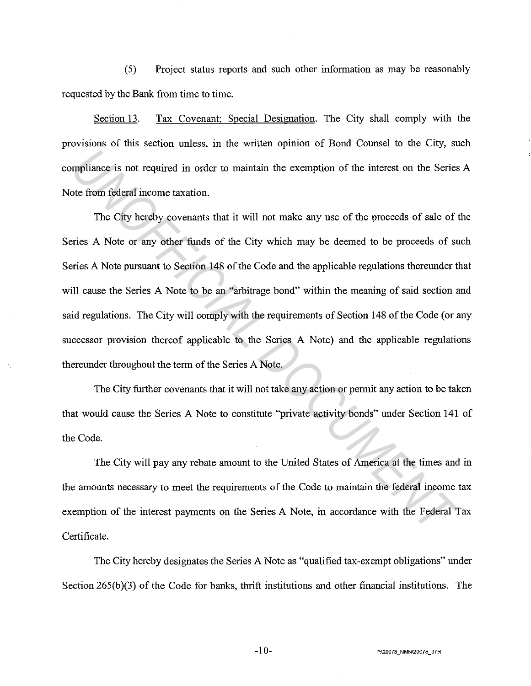(5) Project status reports and such other information as may be reasonably requested by the Bank from time to time.

Section 13. Tax Covenant; Special Designation. The City shall comply with the provisions of this section unless, in the written opinion of Bond Counsel to the City, such compliance is not required in order to maintain the exemption of the interest on the Series A Note from federal income taxation.

The City hereby covenants that it will not make any use of the proceeds of sale of the Series A Note or any other funds of the City which may be deemed to be proceeds of such Series A Note pursuant to Section 148 of the Code and the applicable regulations thereunder that will cause the Series A Note to be an "arbitrage bond" within the meaning of said section and said regulations. The City will comply with the requirements of Section 148 of the Code (or any successor provision thereof applicable to the Series A Note) and the applicable regulations thereunder throughout the term of the Series A Note. **IMPLEMENT INTERT INTERT INTERT INTERT INTERT INTO THE CONDEMPTION OF the INTERTY OF CHIP INTERTY CONDENSITY CONDENSITY CONDENSITY CONDENSITY CONDENSITY CONDENSITY CONDENSITY CONDENSITY CONDENSITY CONDENSITY CONDENSITY CON** 

The City further covenants that it will not take any action or permit any action to be taken that would cause the Series A Note to constitute "private activity bonds" under Section **141** of the Code.

The City will pay any rebate amount to the United States of America at the times and in the amounts necessary to meet the requirements of the Code to maintain the federal income tax exemption of the interest payments on the Series A Note, in accordance with the Federal Tax Certificate.

The City hereby designates the Series A Note as "qualified tax-exempt obligations" under Section  $265(b)(3)$  of the Code for banks, thrift institutions and other financial institutions. The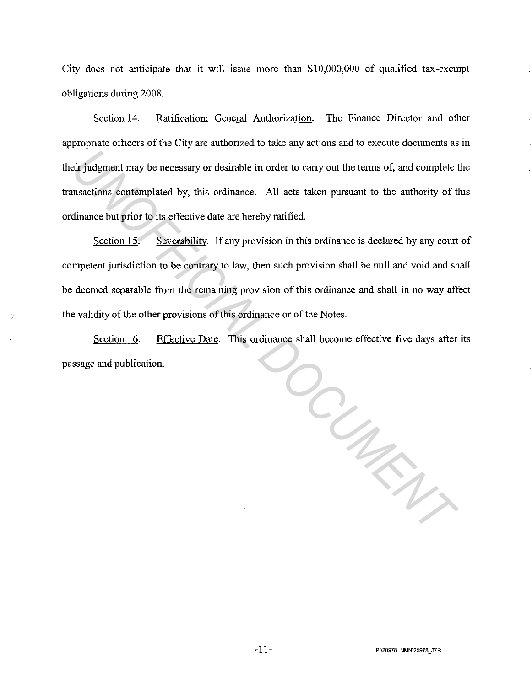City does not anticipate that it will issue more than \$10,000,000 of qualified tax-exempt obligations during 2008.

Section 14. Ratification; General Authorization. The Finance Director and other appropriate officers of the City are authorized to take any actions and to execute documents as in their judgment may be necessary or desirable in order to carry out the terms of, and complete the transactions contemplated by, this ordinance. All acts taken pursuant to the authority of this ordinance but prior to its effective date are hereby ratified.

Section 15. Severability. If any provision in this ordinance is declared by any court of competent jurisdiction to be contrary to law, then such provision shall be null and void and shall be deemed separable from the remaining provision of this ordinance and shall in no way affect the validity of the other provisions of this ordinance or of the Notes.

Section 16. Effective Date. This ordinance shall become effective five days after its passage and publication. *UNOFFICIAL DOCUMENT*

-11- **P:\20978\_NMN\20978\_37R**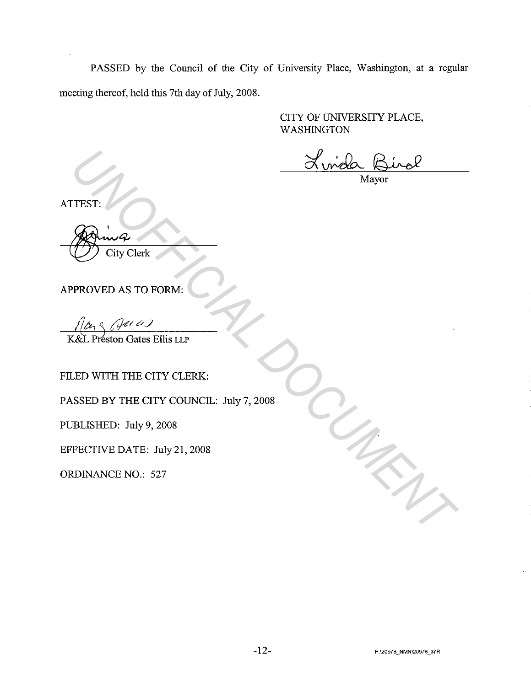PASSED by the Council of the City of University Place, Washington, at a regular meeting thereof, held this 7th day of July, 2008.

> CITY OF UNNERSITY PLACE, WASHINGTON

Where The City Clerk<br>
Mayor<br>
PROVED AS TO FORM:<br>
PROVED AS TO FORM:<br>
<u>MA<sub>S</sub> (Jet et )</u><br>
CRED WITH THE CITY CLERK:<br>
CED WITH THE CITY CLERK:<br>
UED WITH THE CITY CLERK:<br>
UED WITH THE CITY COUNCIL: July 7, 2008<br>
PRECTIVE DATE:

Mayor

ATTEST:

City Clerk

APPROVED AS TO FORM:

FILED WITH THE CITY CLERK:

PASSED BY THE CITY COUNCIL: July 7, 2008

PUBLISHED: July 9, 2008

EFFECTNE DATE: July 21, 2008

ORDINANCE NO.: 527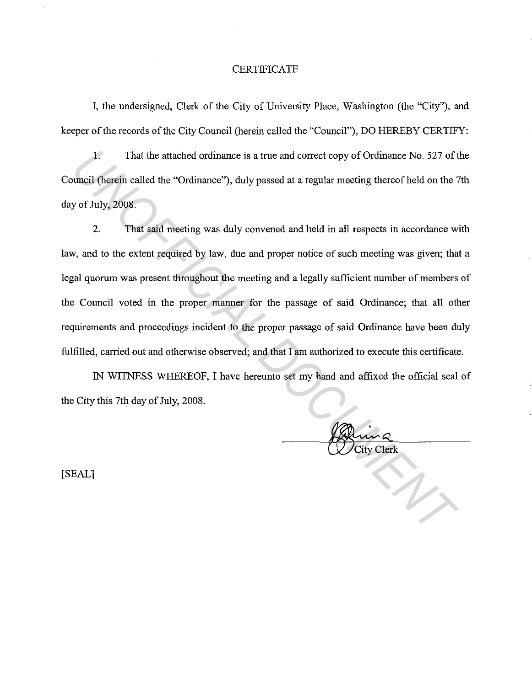#### **CERTIFICATE**

I, the undersigned, Clerk of the City of University Place, Washington (the "City''), and keeper of the records of the City Council (herein called the "Council"), DO HEREBY CERTIFY:

1. That the attached ordinance is a true and correct copy of Ordinance No. 527 of the Council (herein called the "Ordinance"), duly passed at a regular meeting thereof held on the 7th day of July, 2008.

2. That said meeting was duly convened and held in all respects in accordance with law, and to the extent required by law, due and proper notice of such meeting was given; that a legal quorum was present throughout the meeting and a legally sufficient number of members of the Council voted in the proper manner for the passage of said Ordinance; that all other requirements and proceedings incident to the proper passage of said Ordinance have been duly fulfilled, carried out and otherwise observed; and that I am authorized to execute this certificate. **1.** That the attached ordinance is a true and correct copy of Ordinance No. 527 of t<br>sumcil (herein called the "Ordinance"), duly passed at a regular meeting thereof hold on the 2<br>y of July, 2008.<br>2. That said meeting was

IN WITNESS WHEREOF, I have hereunto set my hand and affixed the official seal of the City this 7th day of July, 2008.

[SEAL]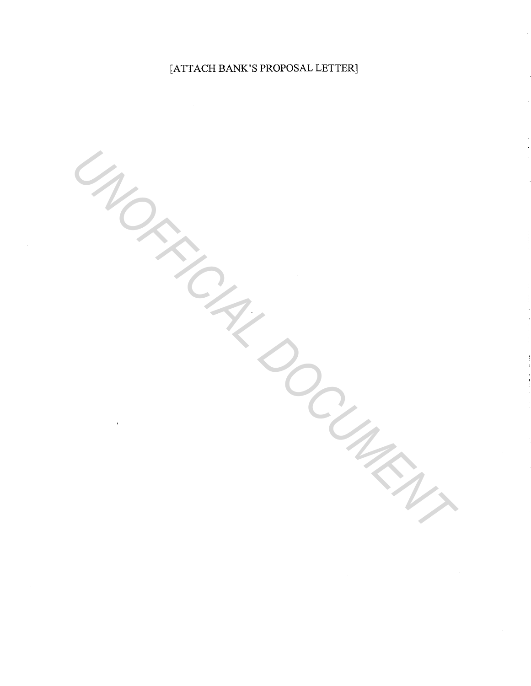# [ATTACH BANK'S PROPOSAL LETTER]

UNOFFICIAL DOCUMENT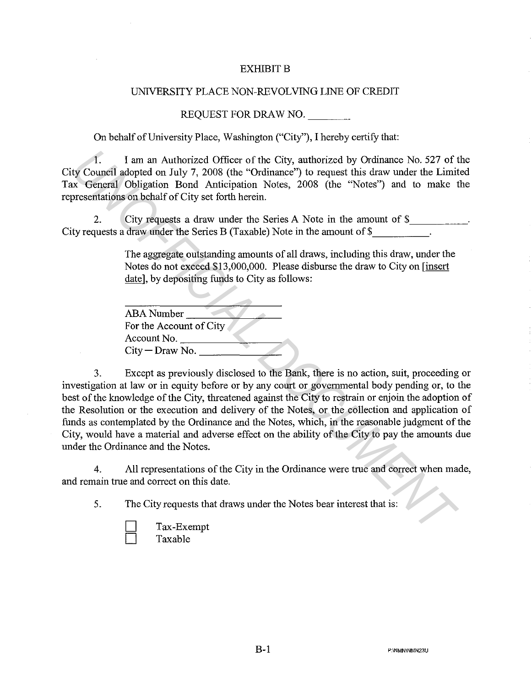#### **EXHIBIT B**

## UNNERSITY PLACE NON-REVOLVING LINE OF CREDIT

#### REQUEST FOR DRAW NO.

On behalf of University Place, Washington ("City"), I hereby certify that:

1. I am an Authorized Officer of the City, authorized by Ordinance No. 527 of the City Council adopted on July 7, 2008 (the "Ordinance") to request this draw under the Limited Tax General Obligation Bond Anticipation Notes, 2008 (the "Notes") and to make the representations on behalf of City set forth herein.

2. City requests a draw under the Series A Note in the amount of \$ City requests a draw under the Series B (Taxable) Note in the amount of \$

> The aggregate outstanding amounts of all draws, including this draw, under the Notes do not exceed \$13,000,000. Please disburse the draw to City on [insert date], by depositing funds to City as follows:

| ABA Number              |  |
|-------------------------|--|
| For the Account of City |  |
| Account No.             |  |
| $City - Draw No.$       |  |

3. Except as previously disclosed to the Bank, there is no action, suit, proceeding or investigation at law or in equity before or by any court or governmental body pending or, to the best of the knowledge of the City, threatened against the City to restrain or enjoin the adoption of the Resolution or the execution and delivery of the Notes, or the collection and application of funds as contemplated by the Ordinance and the Notes, which, in the reasonable judgment of the City, would have a material and adverse effect on the ability of the City to pay the amounts due under the Ordinance and the Notes. 1. I am an Authorized Officer of the City, authorized by Ordinance No. 527 of the Corolom Unly 7, 2008 (the "Ordinance") to request this draw under the Limit or Corolom Anticipation Notes, 2008 (the "Notes") and to make th

4. All representations of the City in the Ordinance were true and correct when made, and remain true and correct on this date.

5. The City requests that draws under the Notes bear interest that is:

Tax-Exempt Taxable

**B-1** P:\NMN\NMN23U